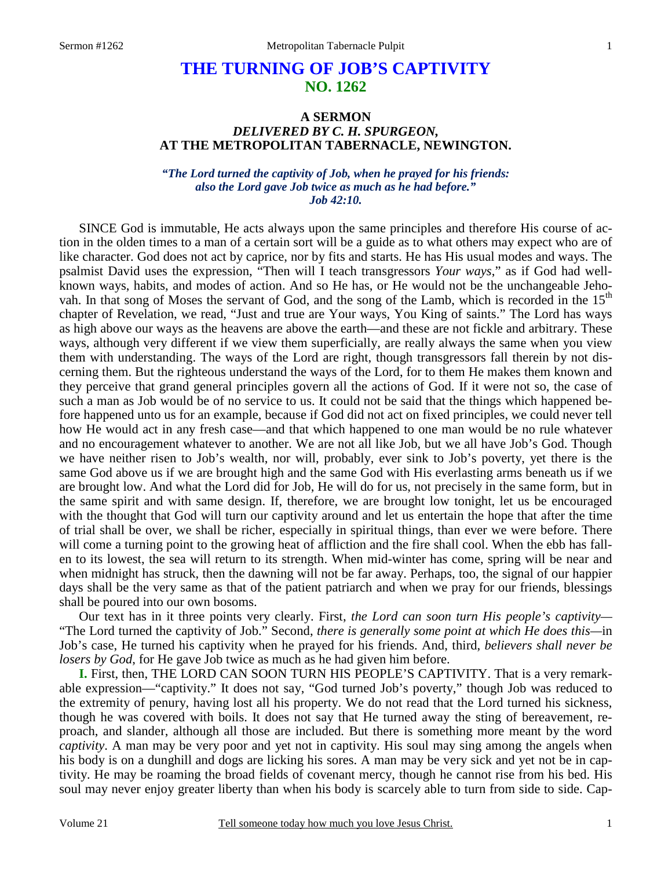# **THE TURNING OF JOB'S CAPTIVITY NO. 1262**

## **A SERMON**  *DELIVERED BY C. H. SPURGEON,*  **AT THE METROPOLITAN TABERNACLE, NEWINGTON.**

#### *"The Lord turned the captivity of Job, when he prayed for his friends: also the Lord gave Job twice as much as he had before." Job 42:10.*

SINCE God is immutable, He acts always upon the same principles and therefore His course of action in the olden times to a man of a certain sort will be a guide as to what others may expect who are of like character. God does not act by caprice, nor by fits and starts. He has His usual modes and ways. The psalmist David uses the expression, "Then will I teach transgressors *Your ways*," as if God had wellknown ways, habits, and modes of action. And so He has, or He would not be the unchangeable Jehovah. In that song of Moses the servant of God, and the song of the Lamb, which is recorded in the 15<sup>th</sup> chapter of Revelation, we read, "Just and true are Your ways, You King of saints." The Lord has ways as high above our ways as the heavens are above the earth—and these are not fickle and arbitrary. These ways, although very different if we view them superficially, are really always the same when you view them with understanding. The ways of the Lord are right, though transgressors fall therein by not discerning them. But the righteous understand the ways of the Lord, for to them He makes them known and they perceive that grand general principles govern all the actions of God. If it were not so, the case of such a man as Job would be of no service to us. It could not be said that the things which happened before happened unto us for an example, because if God did not act on fixed principles, we could never tell how He would act in any fresh case—and that which happened to one man would be no rule whatever and no encouragement whatever to another. We are not all like Job, but we all have Job's God. Though we have neither risen to Job's wealth, nor will, probably, ever sink to Job's poverty, yet there is the same God above us if we are brought high and the same God with His everlasting arms beneath us if we are brought low. And what the Lord did for Job, He will do for us, not precisely in the same form, but in the same spirit and with same design. If, therefore, we are brought low tonight, let us be encouraged with the thought that God will turn our captivity around and let us entertain the hope that after the time of trial shall be over, we shall be richer, especially in spiritual things, than ever we were before. There will come a turning point to the growing heat of affliction and the fire shall cool. When the ebb has fallen to its lowest, the sea will return to its strength. When mid-winter has come, spring will be near and when midnight has struck, then the dawning will not be far away. Perhaps, too, the signal of our happier days shall be the very same as that of the patient patriarch and when we pray for our friends, blessings shall be poured into our own bosoms.

 Our text has in it three points very clearly. First, *the Lord can soon turn His people's captivity—* "The Lord turned the captivity of Job." Second, *there is generally some point at which He does this—*in Job's case, He turned his captivity when he prayed for his friends. And, third, *believers shall never be losers by God*, for He gave Job twice as much as he had given him before.

**I.** First, then, THE LORD CAN SOON TURN HIS PEOPLE'S CAPTIVITY. That is a very remarkable expression—"captivity." It does not say, "God turned Job's poverty," though Job was reduced to the extremity of penury, having lost all his property. We do not read that the Lord turned his sickness, though he was covered with boils. It does not say that He turned away the sting of bereavement, reproach, and slander, although all those are included. But there is something more meant by the word *captivity*. A man may be very poor and yet not in captivity. His soul may sing among the angels when his body is on a dunghill and dogs are licking his sores. A man may be very sick and yet not be in captivity. He may be roaming the broad fields of covenant mercy, though he cannot rise from his bed. His soul may never enjoy greater liberty than when his body is scarcely able to turn from side to side. Cap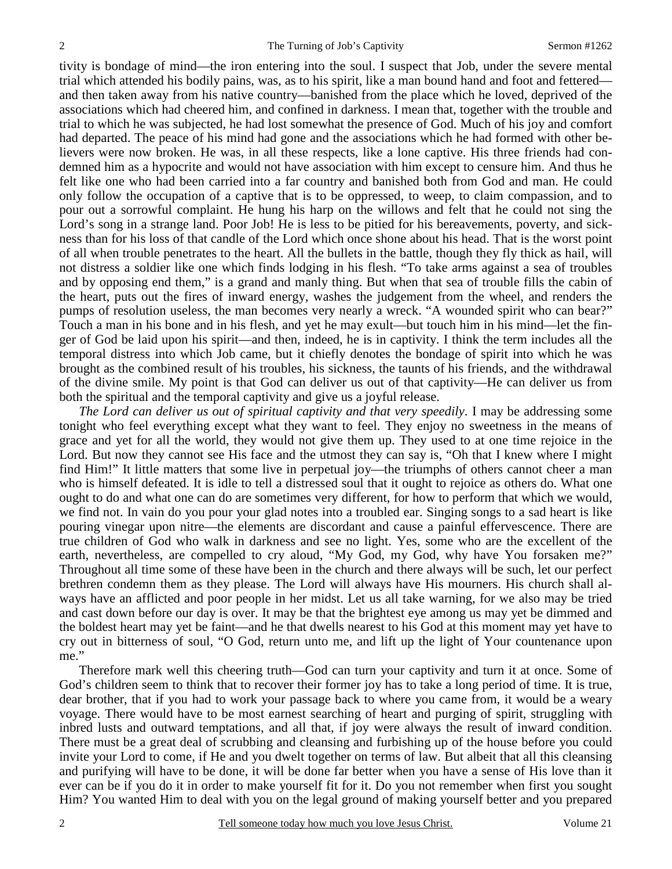tivity is bondage of mind—the iron entering into the soul. I suspect that Job, under the severe mental trial which attended his bodily pains, was, as to his spirit, like a man bound hand and foot and fettered and then taken away from his native country—banished from the place which he loved, deprived of the associations which had cheered him, and confined in darkness. I mean that, together with the trouble and trial to which he was subjected, he had lost somewhat the presence of God. Much of his joy and comfort had departed. The peace of his mind had gone and the associations which he had formed with other believers were now broken. He was, in all these respects, like a lone captive. His three friends had condemned him as a hypocrite and would not have association with him except to censure him. And thus he felt like one who had been carried into a far country and banished both from God and man. He could only follow the occupation of a captive that is to be oppressed, to weep, to claim compassion, and to pour out a sorrowful complaint. He hung his harp on the willows and felt that he could not sing the Lord's song in a strange land. Poor Job! He is less to be pitied for his bereavements, poverty, and sickness than for his loss of that candle of the Lord which once shone about his head. That is the worst point of all when trouble penetrates to the heart. All the bullets in the battle, though they fly thick as hail, will not distress a soldier like one which finds lodging in his flesh. "To take arms against a sea of troubles and by opposing end them," is a grand and manly thing. But when that sea of trouble fills the cabin of the heart, puts out the fires of inward energy, washes the judgement from the wheel, and renders the pumps of resolution useless, the man becomes very nearly a wreck. "A wounded spirit who can bear?" Touch a man in his bone and in his flesh, and yet he may exult—but touch him in his mind—let the finger of God be laid upon his spirit—and then, indeed, he is in captivity. I think the term includes all the temporal distress into which Job came, but it chiefly denotes the bondage of spirit into which he was brought as the combined result of his troubles, his sickness, the taunts of his friends, and the withdrawal of the divine smile. My point is that God can deliver us out of that captivity—He can deliver us from both the spiritual and the temporal captivity and give us a joyful release.

*The Lord can deliver us out of spiritual captivity and that very speedily*. I may be addressing some tonight who feel everything except what they want to feel. They enjoy no sweetness in the means of grace and yet for all the world, they would not give them up. They used to at one time rejoice in the Lord. But now they cannot see His face and the utmost they can say is, "Oh that I knew where I might find Him!" It little matters that some live in perpetual joy—the triumphs of others cannot cheer a man who is himself defeated. It is idle to tell a distressed soul that it ought to rejoice as others do. What one ought to do and what one can do are sometimes very different, for how to perform that which we would, we find not. In vain do you pour your glad notes into a troubled ear. Singing songs to a sad heart is like pouring vinegar upon nitre—the elements are discordant and cause a painful effervescence. There are true children of God who walk in darkness and see no light. Yes, some who are the excellent of the earth, nevertheless, are compelled to cry aloud, "My God, my God, why have You forsaken me?" Throughout all time some of these have been in the church and there always will be such, let our perfect brethren condemn them as they please. The Lord will always have His mourners. His church shall always have an afflicted and poor people in her midst. Let us all take warning, for we also may be tried and cast down before our day is over. It may be that the brightest eye among us may yet be dimmed and the boldest heart may yet be faint—and he that dwells nearest to his God at this moment may yet have to cry out in bitterness of soul, "O God, return unto me, and lift up the light of Your countenance upon me."

 Therefore mark well this cheering truth—God can turn your captivity and turn it at once. Some of God's children seem to think that to recover their former joy has to take a long period of time. It is true, dear brother, that if you had to work your passage back to where you came from, it would be a weary voyage. There would have to be most earnest searching of heart and purging of spirit, struggling with inbred lusts and outward temptations, and all that, if joy were always the result of inward condition. There must be a great deal of scrubbing and cleansing and furbishing up of the house before you could invite your Lord to come, if He and you dwelt together on terms of law. But albeit that all this cleansing and purifying will have to be done, it will be done far better when you have a sense of His love than it ever can be if you do it in order to make yourself fit for it. Do you not remember when first you sought Him? You wanted Him to deal with you on the legal ground of making yourself better and you prepared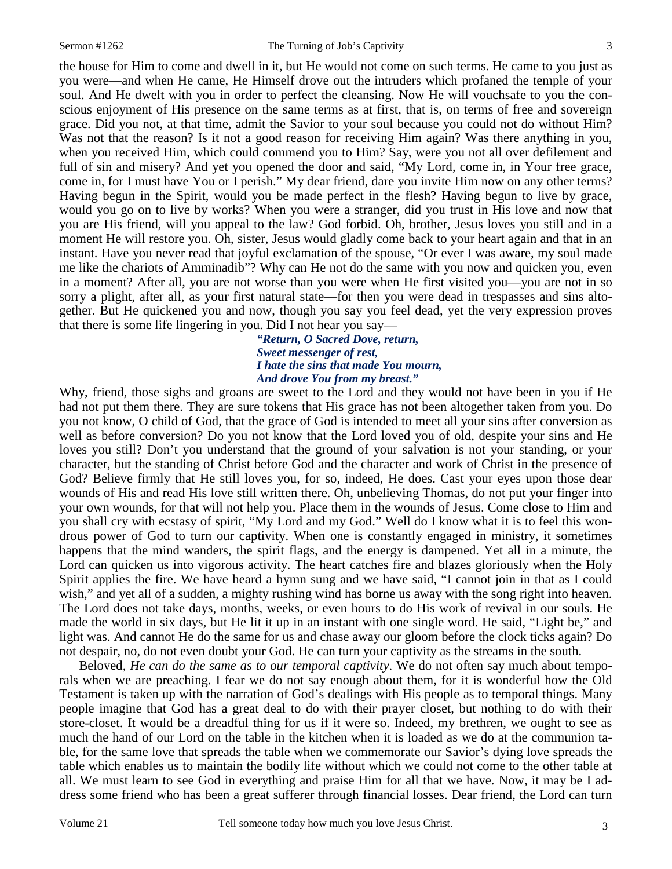the house for Him to come and dwell in it, but He would not come on such terms. He came to you just as you were—and when He came, He Himself drove out the intruders which profaned the temple of your soul. And He dwelt with you in order to perfect the cleansing. Now He will vouchsafe to you the conscious enjoyment of His presence on the same terms as at first, that is, on terms of free and sovereign grace. Did you not, at that time, admit the Savior to your soul because you could not do without Him? Was not that the reason? Is it not a good reason for receiving Him again? Was there anything in you, when you received Him, which could commend you to Him? Say, were you not all over defilement and full of sin and misery? And yet you opened the door and said, "My Lord, come in, in Your free grace, come in, for I must have You or I perish." My dear friend, dare you invite Him now on any other terms? Having begun in the Spirit, would you be made perfect in the flesh? Having begun to live by grace, would you go on to live by works? When you were a stranger, did you trust in His love and now that you are His friend, will you appeal to the law? God forbid. Oh, brother, Jesus loves you still and in a moment He will restore you. Oh, sister, Jesus would gladly come back to your heart again and that in an instant. Have you never read that joyful exclamation of the spouse, "Or ever I was aware, my soul made me like the chariots of Amminadib"? Why can He not do the same with you now and quicken you, even in a moment? After all, you are not worse than you were when He first visited you—you are not in so sorry a plight, after all, as your first natural state—for then you were dead in trespasses and sins altogether. But He quickened you and now, though you say you feel dead, yet the very expression proves that there is some life lingering in you. Did I not hear you say—

### *"Return, O Sacred Dove, return, Sweet messenger of rest, I hate the sins that made You mourn, And drove You from my breast."*

Why, friend, those sighs and groans are sweet to the Lord and they would not have been in you if He had not put them there. They are sure tokens that His grace has not been altogether taken from you. Do you not know, O child of God, that the grace of God is intended to meet all your sins after conversion as well as before conversion? Do you not know that the Lord loved you of old, despite your sins and He loves you still? Don't you understand that the ground of your salvation is not your standing, or your character, but the standing of Christ before God and the character and work of Christ in the presence of God? Believe firmly that He still loves you, for so, indeed, He does. Cast your eyes upon those dear wounds of His and read His love still written there. Oh, unbelieving Thomas, do not put your finger into your own wounds, for that will not help you. Place them in the wounds of Jesus. Come close to Him and you shall cry with ecstasy of spirit, "My Lord and my God." Well do I know what it is to feel this wondrous power of God to turn our captivity. When one is constantly engaged in ministry, it sometimes happens that the mind wanders, the spirit flags, and the energy is dampened. Yet all in a minute, the Lord can quicken us into vigorous activity. The heart catches fire and blazes gloriously when the Holy Spirit applies the fire. We have heard a hymn sung and we have said, "I cannot join in that as I could wish," and yet all of a sudden, a mighty rushing wind has borne us away with the song right into heaven. The Lord does not take days, months, weeks, or even hours to do His work of revival in our souls. He made the world in six days, but He lit it up in an instant with one single word. He said, "Light be," and light was. And cannot He do the same for us and chase away our gloom before the clock ticks again? Do not despair, no, do not even doubt your God. He can turn your captivity as the streams in the south.

 Beloved, *He can do the same as to our temporal captivity*. We do not often say much about temporals when we are preaching. I fear we do not say enough about them, for it is wonderful how the Old Testament is taken up with the narration of God's dealings with His people as to temporal things. Many people imagine that God has a great deal to do with their prayer closet, but nothing to do with their store-closet. It would be a dreadful thing for us if it were so. Indeed, my brethren, we ought to see as much the hand of our Lord on the table in the kitchen when it is loaded as we do at the communion table, for the same love that spreads the table when we commemorate our Savior's dying love spreads the table which enables us to maintain the bodily life without which we could not come to the other table at all. We must learn to see God in everything and praise Him for all that we have. Now, it may be I address some friend who has been a great sufferer through financial losses. Dear friend, the Lord can turn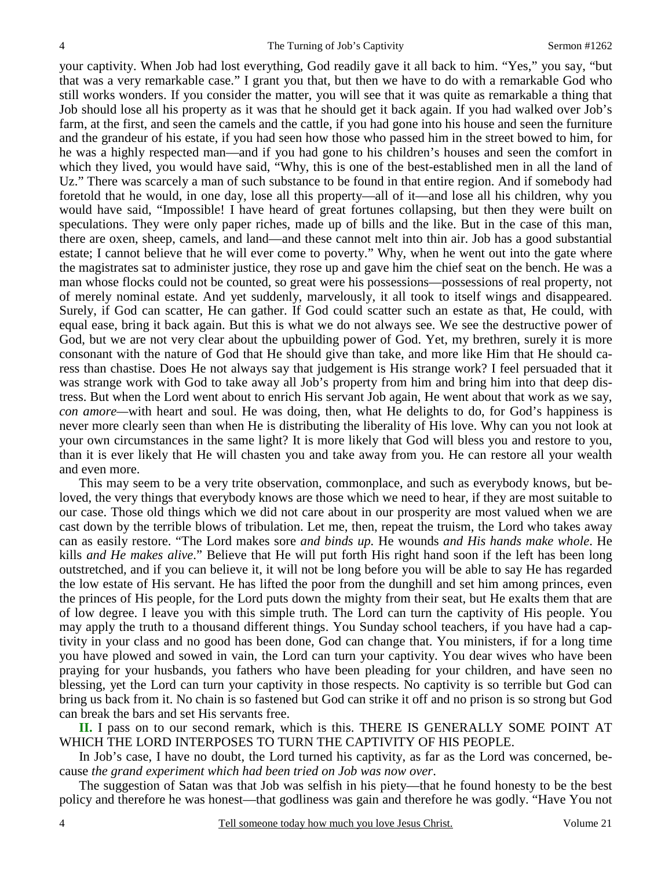your captivity. When Job had lost everything, God readily gave it all back to him. "Yes," you say, "but that was a very remarkable case." I grant you that, but then we have to do with a remarkable God who still works wonders. If you consider the matter, you will see that it was quite as remarkable a thing that Job should lose all his property as it was that he should get it back again. If you had walked over Job's farm, at the first, and seen the camels and the cattle, if you had gone into his house and seen the furniture and the grandeur of his estate, if you had seen how those who passed him in the street bowed to him, for he was a highly respected man—and if you had gone to his children's houses and seen the comfort in which they lived, you would have said, "Why, this is one of the best-established men in all the land of Uz." There was scarcely a man of such substance to be found in that entire region. And if somebody had foretold that he would, in one day, lose all this property—all of it—and lose all his children, why you would have said, "Impossible! I have heard of great fortunes collapsing, but then they were built on speculations. They were only paper riches, made up of bills and the like. But in the case of this man, there are oxen, sheep, camels, and land—and these cannot melt into thin air. Job has a good substantial estate; I cannot believe that he will ever come to poverty." Why, when he went out into the gate where the magistrates sat to administer justice, they rose up and gave him the chief seat on the bench. He was a man whose flocks could not be counted, so great were his possessions—possessions of real property, not of merely nominal estate. And yet suddenly, marvelously, it all took to itself wings and disappeared. Surely, if God can scatter, He can gather. If God could scatter such an estate as that, He could, with equal ease, bring it back again. But this is what we do not always see. We see the destructive power of God, but we are not very clear about the upbuilding power of God. Yet, my brethren, surely it is more consonant with the nature of God that He should give than take, and more like Him that He should caress than chastise. Does He not always say that judgement is His strange work? I feel persuaded that it was strange work with God to take away all Job's property from him and bring him into that deep distress. But when the Lord went about to enrich His servant Job again, He went about that work as we say, *con amore—*with heart and soul. He was doing, then, what He delights to do, for God's happiness is never more clearly seen than when He is distributing the liberality of His love. Why can you not look at your own circumstances in the same light? It is more likely that God will bless you and restore to you, than it is ever likely that He will chasten you and take away from you. He can restore all your wealth and even more.

 This may seem to be a very trite observation, commonplace, and such as everybody knows, but beloved, the very things that everybody knows are those which we need to hear, if they are most suitable to our case. Those old things which we did not care about in our prosperity are most valued when we are cast down by the terrible blows of tribulation. Let me, then, repeat the truism, the Lord who takes away can as easily restore. "The Lord makes sore *and binds up.* He wounds *and His hands make whole*. He kills *and He makes alive*." Believe that He will put forth His right hand soon if the left has been long outstretched, and if you can believe it, it will not be long before you will be able to say He has regarded the low estate of His servant. He has lifted the poor from the dunghill and set him among princes, even the princes of His people, for the Lord puts down the mighty from their seat, but He exalts them that are of low degree. I leave you with this simple truth. The Lord can turn the captivity of His people. You may apply the truth to a thousand different things. You Sunday school teachers, if you have had a captivity in your class and no good has been done, God can change that. You ministers, if for a long time you have plowed and sowed in vain, the Lord can turn your captivity. You dear wives who have been praying for your husbands, you fathers who have been pleading for your children, and have seen no blessing, yet the Lord can turn your captivity in those respects. No captivity is so terrible but God can bring us back from it. No chain is so fastened but God can strike it off and no prison is so strong but God can break the bars and set His servants free.

**II.** I pass on to our second remark, which is this. THERE IS GENERALLY SOME POINT AT WHICH THE LORD INTERPOSES TO TURN THE CAPTIVITY OF HIS PEOPLE.

 In Job's case, I have no doubt, the Lord turned his captivity, as far as the Lord was concerned, because *the grand experiment which had been tried on Job was now over*.

 The suggestion of Satan was that Job was selfish in his piety—that he found honesty to be the best policy and therefore he was honest—that godliness was gain and therefore he was godly. "Have You not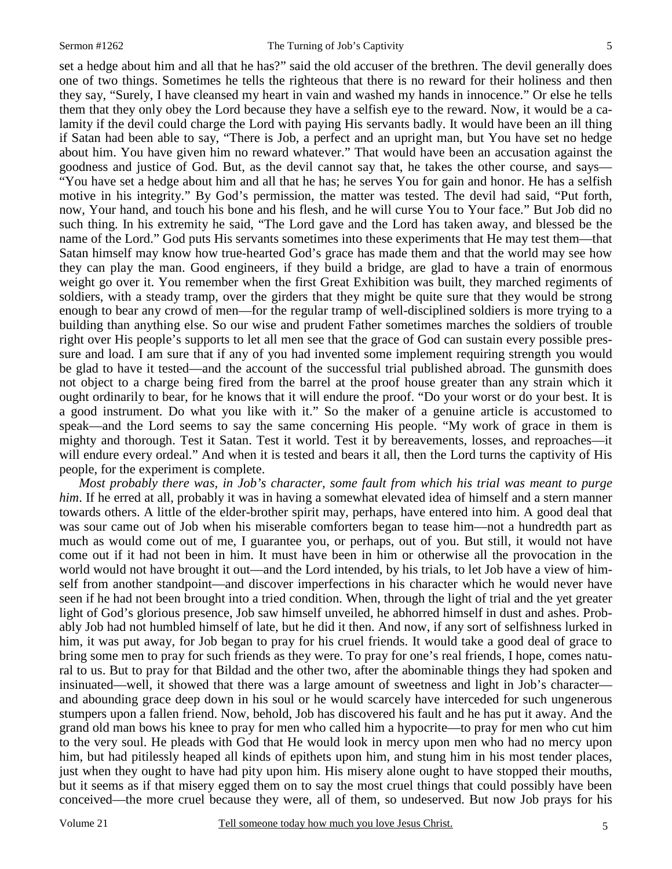set a hedge about him and all that he has?" said the old accuser of the brethren. The devil generally does one of two things. Sometimes he tells the righteous that there is no reward for their holiness and then they say, "Surely, I have cleansed my heart in vain and washed my hands in innocence." Or else he tells them that they only obey the Lord because they have a selfish eye to the reward. Now, it would be a calamity if the devil could charge the Lord with paying His servants badly. It would have been an ill thing if Satan had been able to say, "There is Job, a perfect and an upright man, but You have set no hedge about him. You have given him no reward whatever." That would have been an accusation against the goodness and justice of God. But, as the devil cannot say that, he takes the other course, and says— "You have set a hedge about him and all that he has; he serves You for gain and honor. He has a selfish motive in his integrity." By God's permission, the matter was tested. The devil had said, "Put forth, now, Your hand, and touch his bone and his flesh, and he will curse You to Your face." But Job did no such thing. In his extremity he said, "The Lord gave and the Lord has taken away, and blessed be the name of the Lord." God puts His servants sometimes into these experiments that He may test them—that Satan himself may know how true-hearted God's grace has made them and that the world may see how they can play the man. Good engineers, if they build a bridge, are glad to have a train of enormous weight go over it. You remember when the first Great Exhibition was built, they marched regiments of soldiers, with a steady tramp, over the girders that they might be quite sure that they would be strong enough to bear any crowd of men—for the regular tramp of well-disciplined soldiers is more trying to a building than anything else. So our wise and prudent Father sometimes marches the soldiers of trouble right over His people's supports to let all men see that the grace of God can sustain every possible pressure and load. I am sure that if any of you had invented some implement requiring strength you would be glad to have it tested—and the account of the successful trial published abroad. The gunsmith does not object to a charge being fired from the barrel at the proof house greater than any strain which it ought ordinarily to bear, for he knows that it will endure the proof. "Do your worst or do your best. It is a good instrument. Do what you like with it." So the maker of a genuine article is accustomed to speak—and the Lord seems to say the same concerning His people. "My work of grace in them is mighty and thorough. Test it Satan. Test it world. Test it by bereavements, losses, and reproaches—it will endure every ordeal." And when it is tested and bears it all, then the Lord turns the captivity of His people, for the experiment is complete.

*Most probably there was, in Job's character, some fault from which his trial was meant to purge him*. If he erred at all, probably it was in having a somewhat elevated idea of himself and a stern manner towards others. A little of the elder-brother spirit may, perhaps, have entered into him. A good deal that was sour came out of Job when his miserable comforters began to tease him—not a hundredth part as much as would come out of me, I guarantee you, or perhaps, out of you. But still, it would not have come out if it had not been in him. It must have been in him or otherwise all the provocation in the world would not have brought it out—and the Lord intended, by his trials, to let Job have a view of himself from another standpoint—and discover imperfections in his character which he would never have seen if he had not been brought into a tried condition. When, through the light of trial and the yet greater light of God's glorious presence, Job saw himself unveiled, he abhorred himself in dust and ashes. Probably Job had not humbled himself of late, but he did it then. And now, if any sort of selfishness lurked in him, it was put away, for Job began to pray for his cruel friends. It would take a good deal of grace to bring some men to pray for such friends as they were. To pray for one's real friends, I hope, comes natural to us. But to pray for that Bildad and the other two, after the abominable things they had spoken and insinuated—well, it showed that there was a large amount of sweetness and light in Job's character and abounding grace deep down in his soul or he would scarcely have interceded for such ungenerous stumpers upon a fallen friend. Now, behold, Job has discovered his fault and he has put it away. And the grand old man bows his knee to pray for men who called him a hypocrite—to pray for men who cut him to the very soul. He pleads with God that He would look in mercy upon men who had no mercy upon him, but had pitilessly heaped all kinds of epithets upon him, and stung him in his most tender places, just when they ought to have had pity upon him. His misery alone ought to have stopped their mouths, but it seems as if that misery egged them on to say the most cruel things that could possibly have been conceived—the more cruel because they were, all of them, so undeserved. But now Job prays for his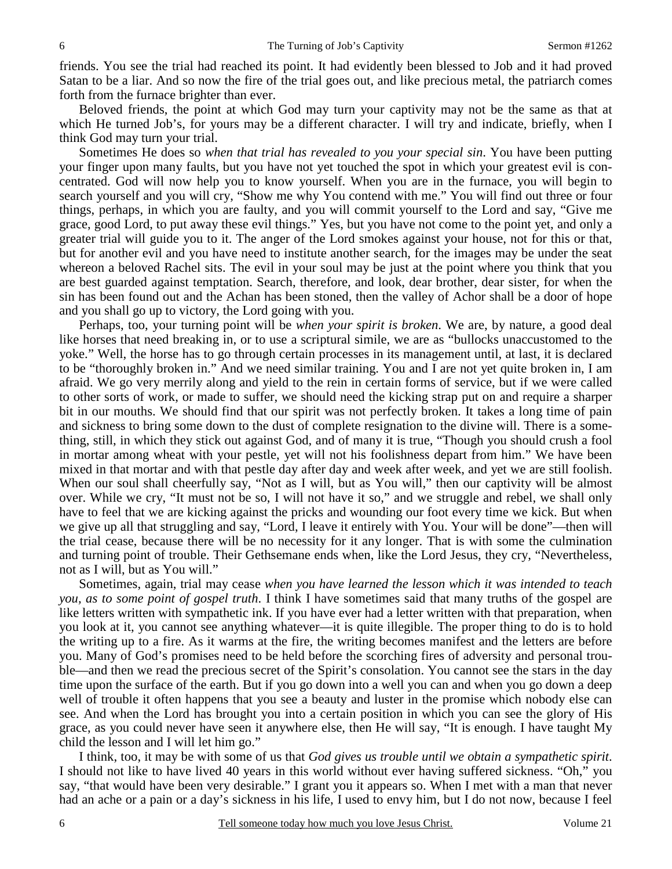friends. You see the trial had reached its point. It had evidently been blessed to Job and it had proved Satan to be a liar. And so now the fire of the trial goes out, and like precious metal, the patriarch comes forth from the furnace brighter than ever.

 Beloved friends, the point at which God may turn your captivity may not be the same as that at which He turned Job's, for yours may be a different character. I will try and indicate, briefly, when I think God may turn your trial.

 Sometimes He does so *when that trial has revealed to you your special sin*. You have been putting your finger upon many faults, but you have not yet touched the spot in which your greatest evil is concentrated. God will now help you to know yourself. When you are in the furnace, you will begin to search yourself and you will cry, "Show me why You contend with me." You will find out three or four things, perhaps, in which you are faulty, and you will commit yourself to the Lord and say, "Give me grace, good Lord, to put away these evil things." Yes, but you have not come to the point yet, and only a greater trial will guide you to it. The anger of the Lord smokes against your house, not for this or that, but for another evil and you have need to institute another search, for the images may be under the seat whereon a beloved Rachel sits. The evil in your soul may be just at the point where you think that you are best guarded against temptation. Search, therefore, and look, dear brother, dear sister, for when the sin has been found out and the Achan has been stoned, then the valley of Achor shall be a door of hope and you shall go up to victory, the Lord going with you.

 Perhaps, too, your turning point will be *when your spirit is broken*. We are, by nature, a good deal like horses that need breaking in, or to use a scriptural simile, we are as "bullocks unaccustomed to the yoke." Well, the horse has to go through certain processes in its management until, at last, it is declared to be "thoroughly broken in." And we need similar training. You and I are not yet quite broken in, I am afraid. We go very merrily along and yield to the rein in certain forms of service, but if we were called to other sorts of work, or made to suffer, we should need the kicking strap put on and require a sharper bit in our mouths. We should find that our spirit was not perfectly broken. It takes a long time of pain and sickness to bring some down to the dust of complete resignation to the divine will. There is a something, still, in which they stick out against God, and of many it is true, "Though you should crush a fool in mortar among wheat with your pestle, yet will not his foolishness depart from him." We have been mixed in that mortar and with that pestle day after day and week after week, and yet we are still foolish. When our soul shall cheerfully say, "Not as I will, but as You will," then our captivity will be almost over. While we cry, "It must not be so, I will not have it so," and we struggle and rebel, we shall only have to feel that we are kicking against the pricks and wounding our foot every time we kick. But when we give up all that struggling and say, "Lord, I leave it entirely with You. Your will be done"—then will the trial cease, because there will be no necessity for it any longer. That is with some the culmination and turning point of trouble. Their Gethsemane ends when, like the Lord Jesus, they cry, "Nevertheless, not as I will, but as You will."

 Sometimes, again, trial may cease *when you have learned the lesson which it was intended to teach you, as to some point of gospel truth*. I think I have sometimes said that many truths of the gospel are like letters written with sympathetic ink. If you have ever had a letter written with that preparation, when you look at it, you cannot see anything whatever—it is quite illegible. The proper thing to do is to hold the writing up to a fire. As it warms at the fire, the writing becomes manifest and the letters are before you. Many of God's promises need to be held before the scorching fires of adversity and personal trouble—and then we read the precious secret of the Spirit's consolation. You cannot see the stars in the day time upon the surface of the earth. But if you go down into a well you can and when you go down a deep well of trouble it often happens that you see a beauty and luster in the promise which nobody else can see. And when the Lord has brought you into a certain position in which you can see the glory of His grace, as you could never have seen it anywhere else, then He will say, "It is enough. I have taught My child the lesson and I will let him go."

 I think, too, it may be with some of us that *God gives us trouble until we obtain a sympathetic spirit*. I should not like to have lived 40 years in this world without ever having suffered sickness. "Oh," you say, "that would have been very desirable." I grant you it appears so. When I met with a man that never had an ache or a pain or a day's sickness in his life, I used to envy him, but I do not now, because I feel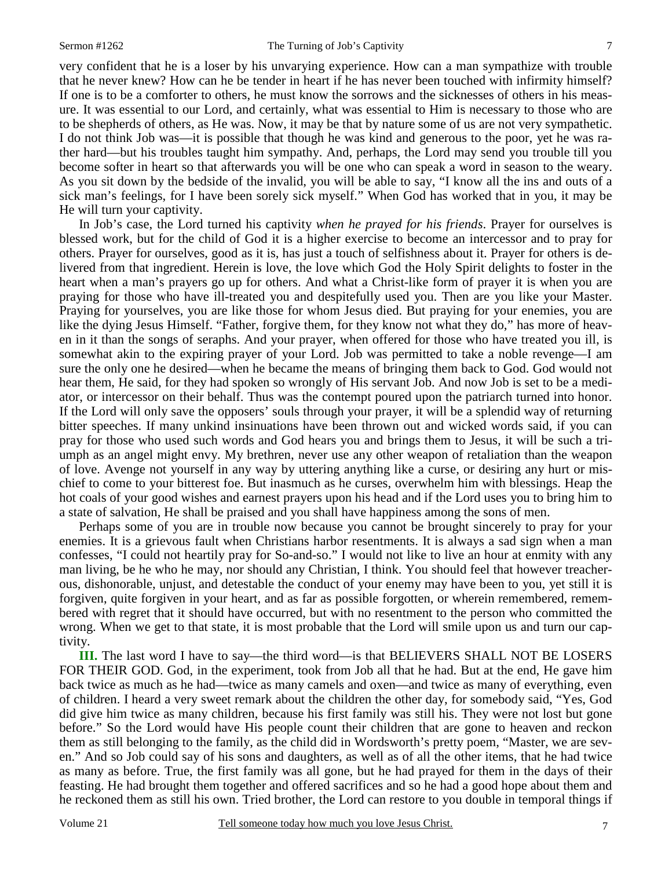very confident that he is a loser by his unvarying experience. How can a man sympathize with trouble that he never knew? How can he be tender in heart if he has never been touched with infirmity himself? If one is to be a comforter to others, he must know the sorrows and the sicknesses of others in his measure. It was essential to our Lord, and certainly, what was essential to Him is necessary to those who are to be shepherds of others, as He was. Now, it may be that by nature some of us are not very sympathetic. I do not think Job was—it is possible that though he was kind and generous to the poor, yet he was rather hard—but his troubles taught him sympathy. And, perhaps, the Lord may send you trouble till you become softer in heart so that afterwards you will be one who can speak a word in season to the weary. As you sit down by the bedside of the invalid, you will be able to say, "I know all the ins and outs of a sick man's feelings, for I have been sorely sick myself." When God has worked that in you, it may be He will turn your captivity.

 In Job's case, the Lord turned his captivity *when he prayed for his friends*. Prayer for ourselves is blessed work, but for the child of God it is a higher exercise to become an intercessor and to pray for others. Prayer for ourselves, good as it is, has just a touch of selfishness about it. Prayer for others is delivered from that ingredient. Herein is love, the love which God the Holy Spirit delights to foster in the heart when a man's prayers go up for others. And what a Christ-like form of prayer it is when you are praying for those who have ill-treated you and despitefully used you. Then are you like your Master. Praying for yourselves, you are like those for whom Jesus died. But praying for your enemies, you are like the dying Jesus Himself. "Father, forgive them, for they know not what they do," has more of heaven in it than the songs of seraphs. And your prayer, when offered for those who have treated you ill, is somewhat akin to the expiring prayer of your Lord. Job was permitted to take a noble revenge—I am sure the only one he desired—when he became the means of bringing them back to God. God would not hear them, He said, for they had spoken so wrongly of His servant Job. And now Job is set to be a mediator, or intercessor on their behalf. Thus was the contempt poured upon the patriarch turned into honor. If the Lord will only save the opposers' souls through your prayer, it will be a splendid way of returning bitter speeches. If many unkind insinuations have been thrown out and wicked words said, if you can pray for those who used such words and God hears you and brings them to Jesus, it will be such a triumph as an angel might envy. My brethren, never use any other weapon of retaliation than the weapon of love. Avenge not yourself in any way by uttering anything like a curse, or desiring any hurt or mischief to come to your bitterest foe. But inasmuch as he curses, overwhelm him with blessings. Heap the hot coals of your good wishes and earnest prayers upon his head and if the Lord uses you to bring him to a state of salvation, He shall be praised and you shall have happiness among the sons of men.

 Perhaps some of you are in trouble now because you cannot be brought sincerely to pray for your enemies. It is a grievous fault when Christians harbor resentments. It is always a sad sign when a man confesses, "I could not heartily pray for So-and-so." I would not like to live an hour at enmity with any man living, be he who he may, nor should any Christian, I think. You should feel that however treacherous, dishonorable, unjust, and detestable the conduct of your enemy may have been to you, yet still it is forgiven, quite forgiven in your heart, and as far as possible forgotten, or wherein remembered, remembered with regret that it should have occurred, but with no resentment to the person who committed the wrong. When we get to that state, it is most probable that the Lord will smile upon us and turn our captivity.

**III.** The last word I have to say—the third word—is that BELIEVERS SHALL NOT BE LOSERS FOR THEIR GOD. God, in the experiment, took from Job all that he had. But at the end, He gave him back twice as much as he had—twice as many camels and oxen—and twice as many of everything, even of children. I heard a very sweet remark about the children the other day, for somebody said, "Yes, God did give him twice as many children, because his first family was still his. They were not lost but gone before." So the Lord would have His people count their children that are gone to heaven and reckon them as still belonging to the family, as the child did in Wordsworth's pretty poem, "Master, we are seven." And so Job could say of his sons and daughters, as well as of all the other items, that he had twice as many as before. True, the first family was all gone, but he had prayed for them in the days of their feasting. He had brought them together and offered sacrifices and so he had a good hope about them and he reckoned them as still his own. Tried brother, the Lord can restore to you double in temporal things if